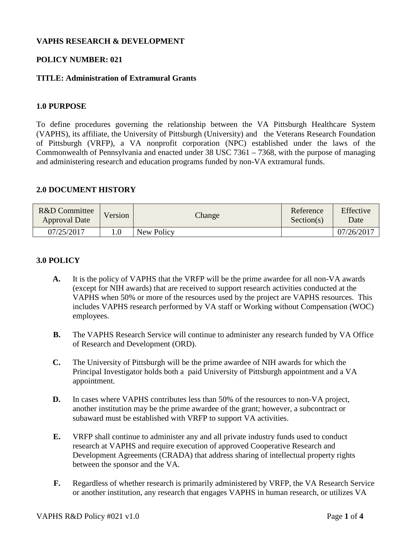# **VAPHS RESEARCH & DEVELOPMENT**

# **POLICY NUMBER: 021**

# **TITLE: Administration of Extramural Grants**

### **1.0 PURPOSE**

To define procedures governing the relationship between the VA Pittsburgh Healthcare System (VAPHS), its affiliate, the University of Pittsburgh (University) and the Veterans Research Foundation of Pittsburgh (VRFP), a VA nonprofit corporation (NPC) established under the laws of the Commonwealth of Pennsylvania and enacted under 38 USC 7361 – 7368, with the purpose of managing and administering research and education programs funded by non-VA extramural funds.

### **2.0 DOCUMENT HISTORY**

| R&D Committee<br><b>Approval Date</b> | Version | Change     | Reference<br>Section(s) | Effective<br>Date |
|---------------------------------------|---------|------------|-------------------------|-------------------|
| 07/25/2017                            | 0.1     | New Policy |                         | 07/26/2017        |

### **3.0 POLICY**

- **A.** It is the policy of VAPHS that the VRFP will be the prime awardee for all non-VA awards (except for NIH awards) that are received to support research activities conducted at the VAPHS when 50% or more of the resources used by the project are VAPHS resources. This includes VAPHS research performed by VA staff or Working without Compensation (WOC) employees.
- **B.** The VAPHS Research Service will continue to administer any research funded by VA Office of Research and Development (ORD).
- **C.** The University of Pittsburgh will be the prime awardee of NIH awards for which the Principal Investigator holds both a paid University of Pittsburgh appointment and a VA appointment.
- **D.** In cases where VAPHS contributes less than 50% of the resources to non-VA project, another institution may be the prime awardee of the grant; however, a subcontract or subaward must be established with VRFP to support VA activities.
- **E.** VRFP shall continue to administer any and all private industry funds used to conduct research at VAPHS and require execution of approved Cooperative Research and Development Agreements (CRADA) that address sharing of intellectual property rights between the sponsor and the VA.
- **F.** Regardless of whether research is primarily administered by VRFP, the VA Research Service or another institution, any research that engages VAPHS in human research, or utilizes VA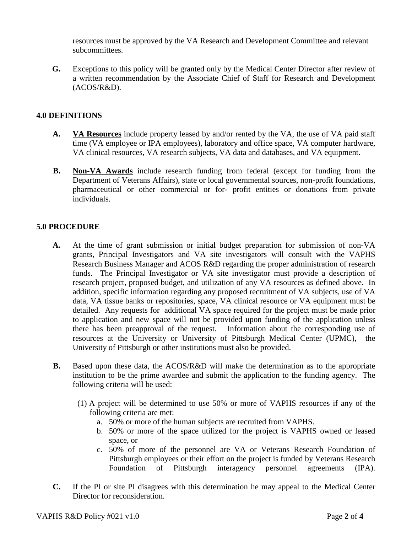resources must be approved by the VA Research and Development Committee and relevant subcommittees.

**G.** Exceptions to this policy will be granted only by the Medical Center Director after review of a written recommendation by the Associate Chief of Staff for Research and Development  $(ACOS/R&D).$ 

# **4.0 DEFINITIONS**

- **A. VA Resources** include property leased by and/or rented by the VA, the use of VA paid staff time (VA employee or IPA employees), laboratory and office space, VA computer hardware, VA clinical resources, VA research subjects, VA data and databases, and VA equipment.
- **B. Non-VA Awards** include research funding from federal (except for funding from the Department of Veterans Affairs), state or local governmental sources, non-profit foundations, pharmaceutical or other commercial or for- profit entities or donations from private individuals.

# **5.0 PROCEDURE**

- **A.** At the time of grant submission or initial budget preparation for submission of non-VA grants, Principal Investigators and VA site investigators will consult with the VAPHS Research Business Manager and ACOS R&D regarding the proper administration of research funds. The Principal Investigator or VA site investigator must provide a description of research project, proposed budget, and utilization of any VA resources as defined above. In addition, specific information regarding any proposed recruitment of VA subjects, use of VA data, VA tissue banks or repositories, space, VA clinical resource or VA equipment must be detailed. Any requests for additional VA space required for the project must be made prior to application and new space will not be provided upon funding of the application unless there has been preapproval of the request. Information about the corresponding use of resources at the University or University of Pittsburgh Medical Center (UPMC), the University of Pittsburgh or other institutions must also be provided.
- **B.** Based upon these data, the ACOS/R&D will make the determination as to the appropriate institution to be the prime awardee and submit the application to the funding agency. The following criteria will be used:
	- (1) A project will be determined to use 50% or more of VAPHS resources if any of the following criteria are met:
		- a. 50% or more of the human subjects are recruited from VAPHS.
		- b. 50% or more of the space utilized for the project is VAPHS owned or leased space, or
		- c. 50% of more of the personnel are VA or Veterans Research Foundation of Pittsburgh employees or their effort on the project is funded by Veterans Research Foundation of Pittsburgh interagency personnel agreements (IPA).
- **C.** If the PI or site PI disagrees with this determination he may appeal to the Medical Center Director for reconsideration.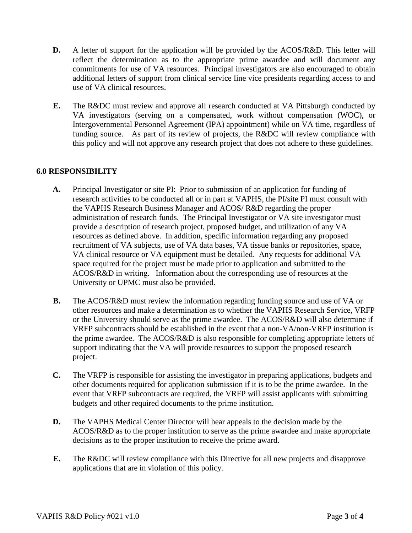- **D.** A letter of support for the application will be provided by the ACOS/R&D. This letter will reflect the determination as to the appropriate prime awardee and will document any commitments for use of VA resources. Principal investigators are also encouraged to obtain additional letters of support from clinical service line vice presidents regarding access to and use of VA clinical resources.
- **E.** The R&DC must review and approve all research conducted at VA Pittsburgh conducted by VA investigators (serving on a compensated, work without compensation (WOC), or Intergovernmental Personnel Agreement (IPA) appointment) while on VA time, regardless of funding source. As part of its review of projects, the R&DC will review compliance with this policy and will not approve any research project that does not adhere to these guidelines.

# **6.0 RESPONSIBILITY**

- **A.** Principal Investigator or site PI: Prior to submission of an application for funding of research activities to be conducted all or in part at VAPHS, the PI/site PI must consult with the VAPHS Research Business Manager and ACOS/ R&D regarding the proper administration of research funds. The Principal Investigator or VA site investigator must provide a description of research project, proposed budget, and utilization of any VA resources as defined above. In addition, specific information regarding any proposed recruitment of VA subjects, use of VA data bases, VA tissue banks or repositories, space, VA clinical resource or VA equipment must be detailed. Any requests for additional VA space required for the project must be made prior to application and submitted to the ACOS/R&D in writing. Information about the corresponding use of resources at the University or UPMC must also be provided.
- **B.** The ACOS/R&D must review the information regarding funding source and use of VA or other resources and make a determination as to whether the VAPHS Research Service, VRFP or the University should serve as the prime awardee. The ACOS/R&D will also determine if VRFP subcontracts should be established in the event that a non-VA/non-VRFP institution is the prime awardee. The ACOS/R&D is also responsible for completing appropriate letters of support indicating that the VA will provide resources to support the proposed research project.
- **C.** The VRFP is responsible for assisting the investigator in preparing applications, budgets and other documents required for application submission if it is to be the prime awardee. In the event that VRFP subcontracts are required, the VRFP will assist applicants with submitting budgets and other required documents to the prime institution.
- **D.** The VAPHS Medical Center Director will hear appeals to the decision made by the ACOS/R&D as to the proper institution to serve as the prime awardee and make appropriate decisions as to the proper institution to receive the prime award.
- **E.** The R&DC will review compliance with this Directive for all new projects and disapprove applications that are in violation of this policy.